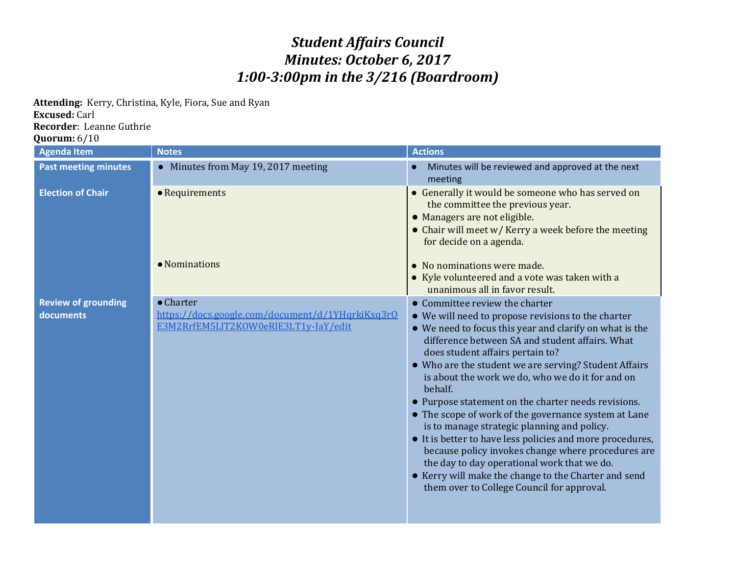## *Student Affairs Council Minutes: October 6, 2017 1:00-3:00pm in the 3/216 (Boardroom)*

**Attending:** Kerry, Christina, Kyle, Fiora, Sue and Ryan **Excused:** Carl

**Recorder**: Leanne Guthrie

**Quorum:** 6/10

| <b>Agenda Item</b>                      | <b>Notes</b>                                                                                                  | <b>Actions</b>                                                                                                                                                                                                                                                                                                                                                                                                                                                                                                                                                                                                                                                                                                                                                                                       |
|-----------------------------------------|---------------------------------------------------------------------------------------------------------------|------------------------------------------------------------------------------------------------------------------------------------------------------------------------------------------------------------------------------------------------------------------------------------------------------------------------------------------------------------------------------------------------------------------------------------------------------------------------------------------------------------------------------------------------------------------------------------------------------------------------------------------------------------------------------------------------------------------------------------------------------------------------------------------------------|
| <b>Past meeting minutes</b>             | • Minutes from May 19, 2017 meeting                                                                           | Minutes will be reviewed and approved at the next<br>meeting                                                                                                                                                                                                                                                                                                                                                                                                                                                                                                                                                                                                                                                                                                                                         |
| <b>Election of Chair</b>                | • Requirements                                                                                                | • Generally it would be someone who has served on<br>the committee the previous year.<br>• Managers are not eligible.<br>• Chair will meet w/ Kerry a week before the meeting<br>for decide on a agenda.                                                                                                                                                                                                                                                                                                                                                                                                                                                                                                                                                                                             |
|                                         | • Nominations                                                                                                 | • No nominations were made.<br>• Kyle volunteered and a vote was taken with a<br>unanimous all in favor result.                                                                                                                                                                                                                                                                                                                                                                                                                                                                                                                                                                                                                                                                                      |
| <b>Review of grounding</b><br>documents | $\bullet$ Charter<br>https://docs.google.com/document/d/1YHqrkiKxq3r0<br>E3M2RrfEM5LIT2KOW0eRlE3LT1y-IaY/edit | • Committee review the charter<br>• We will need to propose revisions to the charter<br>• We need to focus this year and clarify on what is the<br>difference between SA and student affairs. What<br>does student affairs pertain to?<br>• Who are the student we are serving? Student Affairs<br>is about the work we do, who we do it for and on<br>behalf.<br>• Purpose statement on the charter needs revisions.<br>• The scope of work of the governance system at Lane<br>is to manage strategic planning and policy.<br>• It is better to have less policies and more procedures,<br>because policy invokes change where procedures are<br>the day to day operational work that we do.<br>• Kerry will make the change to the Charter and send<br>them over to College Council for approval. |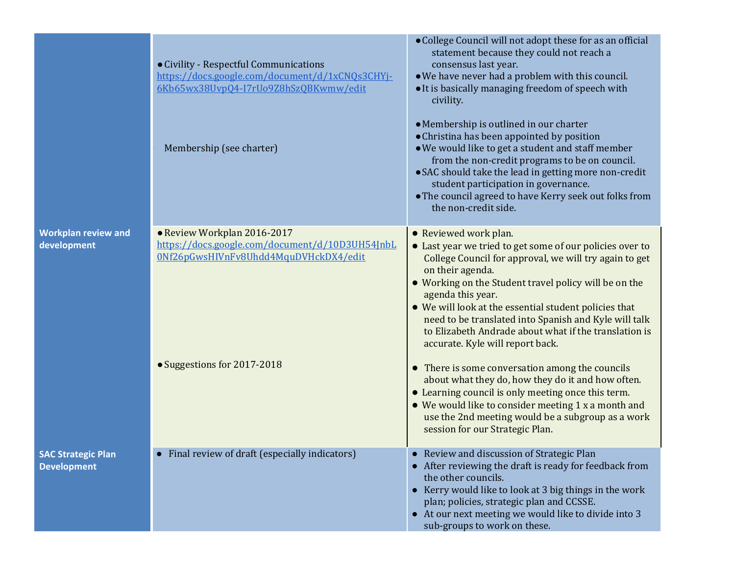|                                                 | • Civility - Respectful Communications<br>https://docs.google.com/document/d/1xCNQs3CHYj-<br>6Kb65wx38UvpQ4-I7rUo9Z8hSzQBKwmw/edit<br>Membership (see charter) | • College Council will not adopt these for as an official<br>statement because they could not reach a<br>consensus last year.<br>• We have never had a problem with this council.<br>• It is basically managing freedom of speech with<br>civility.<br>• Membership is outlined in our charter<br>• Christina has been appointed by position<br>. We would like to get a student and staff member<br>from the non-credit programs to be on council.<br>• SAC should take the lead in getting more non-credit<br>student participation in governance.<br>• The council agreed to have Kerry seek out folks from<br>the non-credit side. |
|-------------------------------------------------|----------------------------------------------------------------------------------------------------------------------------------------------------------------|----------------------------------------------------------------------------------------------------------------------------------------------------------------------------------------------------------------------------------------------------------------------------------------------------------------------------------------------------------------------------------------------------------------------------------------------------------------------------------------------------------------------------------------------------------------------------------------------------------------------------------------|
| <b>Workplan review and</b><br>development       | • Review Workplan 2016-2017<br>https://docs.google.com/document/d/10D3UH54JnbL<br>0Nf26pGwsHIVnFv8Uhdd4MquDVHckDX4/edit                                        | • Reviewed work plan.<br>• Last year we tried to get some of our policies over to<br>College Council for approval, we will try again to get<br>on their agenda.<br>• Working on the Student travel policy will be on the<br>agenda this year.                                                                                                                                                                                                                                                                                                                                                                                          |
|                                                 |                                                                                                                                                                | • We will look at the essential student policies that<br>need to be translated into Spanish and Kyle will talk<br>to Elizabeth Andrade about what if the translation is<br>accurate. Kyle will report back.                                                                                                                                                                                                                                                                                                                                                                                                                            |
|                                                 | • Suggestions for 2017-2018                                                                                                                                    | • There is some conversation among the councils<br>about what they do, how they do it and how often.<br>• Learning council is only meeting once this term.<br>• We would like to consider meeting 1 x a month and<br>use the 2nd meeting would be a subgroup as a work<br>session for our Strategic Plan.                                                                                                                                                                                                                                                                                                                              |
| <b>SAC Strategic Plan</b><br><b>Development</b> | Final review of draft (especially indicators)                                                                                                                  | Review and discussion of Strategic Plan<br>• After reviewing the draft is ready for feedback from<br>the other councils.<br>• Kerry would like to look at 3 big things in the work<br>plan; policies, strategic plan and CCSSE.<br>• At our next meeting we would like to divide into 3<br>sub-groups to work on these.                                                                                                                                                                                                                                                                                                                |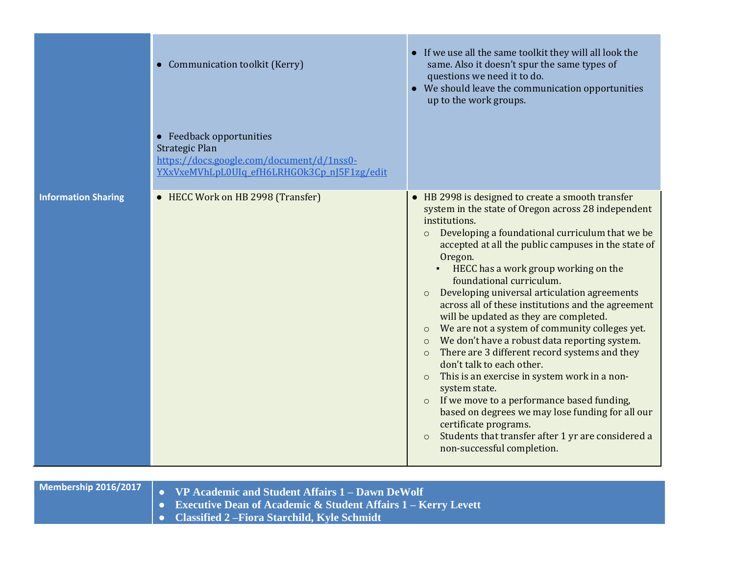|                            | • Communication toolkit (Kerry)<br>• Feedback opportunities<br>Strategic Plan<br>https://docs.google.com/document/d/1nss0-<br>YXxVxeMVhLpL0UIq efH6LRHGOk3Cp nJ5F1zg/edit | • If we use all the same toolkit they will all look the<br>same. Also it doesn't spur the same types of<br>questions we need it to do.<br>• We should leave the communication opportunities<br>up to the work groups.                                                                                                                                                                                                                                                                                                                                                                                                                                                                                                                                                                                                                                                                                                                                                                                                |
|----------------------------|---------------------------------------------------------------------------------------------------------------------------------------------------------------------------|----------------------------------------------------------------------------------------------------------------------------------------------------------------------------------------------------------------------------------------------------------------------------------------------------------------------------------------------------------------------------------------------------------------------------------------------------------------------------------------------------------------------------------------------------------------------------------------------------------------------------------------------------------------------------------------------------------------------------------------------------------------------------------------------------------------------------------------------------------------------------------------------------------------------------------------------------------------------------------------------------------------------|
| <b>Information Sharing</b> | • HECC Work on HB 2998 (Transfer)                                                                                                                                         | • HB 2998 is designed to create a smooth transfer<br>system in the state of Oregon across 28 independent<br>institutions.<br>o Developing a foundational curriculum that we be<br>accepted at all the public campuses in the state of<br>Oregon.<br>• HECC has a work group working on the<br>foundational curriculum.<br>Developing universal articulation agreements<br>$\circ$<br>across all of these institutions and the agreement<br>will be updated as they are completed.<br>We are not a system of community colleges yet.<br>$\circ$<br>We don't have a robust data reporting system.<br>$\circ$<br>There are 3 different record systems and they<br>$\circ$<br>don't talk to each other.<br>This is an exercise in system work in a non-<br>$\circ$<br>system state.<br>If we move to a performance based funding,<br>$\circ$<br>based on degrees we may lose funding for all our<br>certificate programs.<br>Students that transfer after 1 yr are considered a<br>$\circ$<br>non-successful completion. |

**Membership 2016/2017** • **VP Academic and Student Affairs 1 – Dawn DeWolf** 

- **Executive Dean of Academic & Student Affairs 1 – Kerry Levett**
- **Classified 2 –Fiora Starchild, Kyle Schmidt**